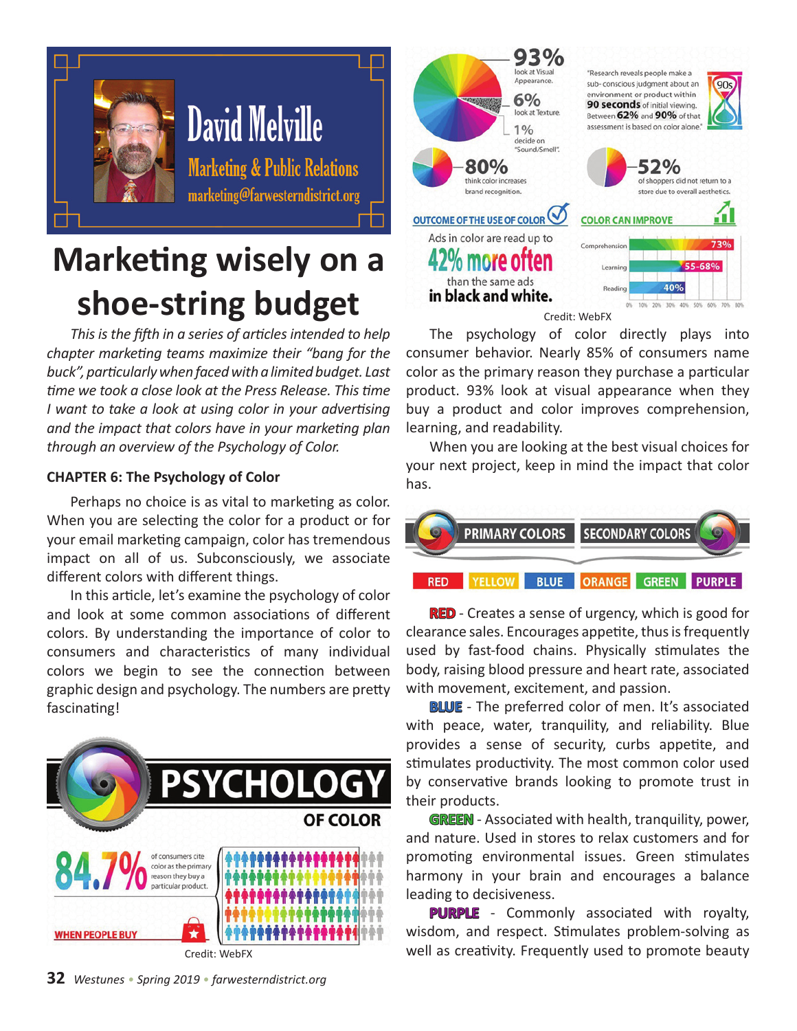

## **Marketing wisely on a shoe-string budget**

*This is the fifth in a series of articles intended to help chapter marketing teams maximize their "bang for the buck", particularly when faced with a limited budget. Last time we took a close look at the Press Release. This time I want to take a look at using color in your advertising and the impact that colors have in your marketing plan through an overview of the Psychology of Color.*

## **CHAPTER 6: The Psychology of Color**

Perhaps no choice is as vital to marketing as color. When you are selecting the color for a product or for your email marketing campaign, color has tremendous impact on all of us. Subconsciously, we associate different colors with different things.

In this article, let's examine the psychology of color and look at some common associations of different colors. By understanding the importance of color to consumers and characteristics of many individual colors we begin to see the connection between graphic design and psychology. The numbers are pretty fascinating!





The psychology of color directly plays into consumer behavior. Nearly 85% of consumers name color as the primary reason they purchase a particular product. 93% look at visual appearance when they buy a product and color improves comprehension, learning, and readability.

When you are looking at the best visual choices for your next project, keep in mind the impact that color has.



**RED** - Creates a sense of urgency, which is good for clearance sales. Encourages appetite, thus is frequently used by fast-food chains. Physically stimulates the body, raising blood pressure and heart rate, associated with movement, excitement, and passion.

**BLUE** - The preferred color of men. It's associated with peace, water, tranquility, and reliability. Blue provides a sense of security, curbs appetite, and stimulates productivity. The most common color used by conservative brands looking to promote trust in their products.

**GREEN** - Associated with health, tranquility, power, and nature. Used in stores to relax customers and for promoting environmental issues. Green stimulates harmony in your brain and encourages a balance leading to decisiveness.

**PURPLE** - Commonly associated with royalty, wisdom, and respect. Stimulates problem-solving as well as creativity. Frequently used to promote beauty

**32** *Westunes • Spring 2019 • farwesterndistrict.org*